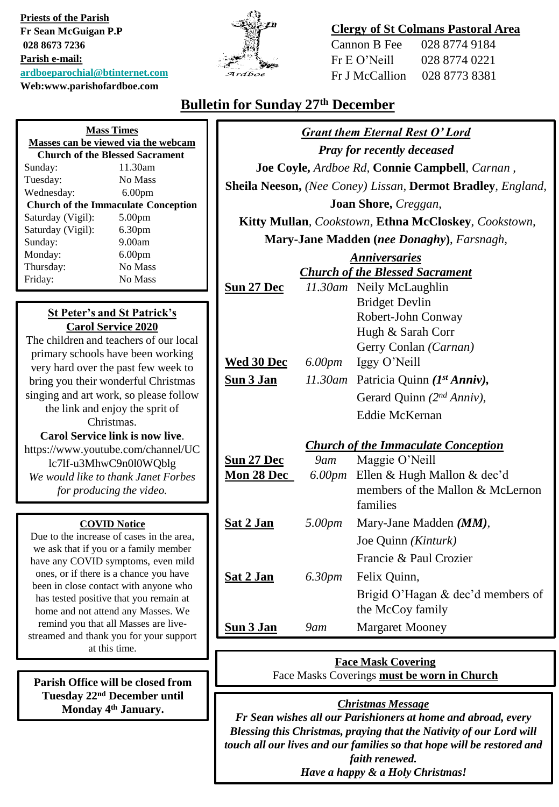**Priests of the Parish Fr Sean McGuigan P.P 028 8673 7236 Parish e-mail: [ardboeparochial@btinternet.com](mailto:ardboeparochial@btinternet.com) Web:www.parishofardboe.com**



#### **Clergy of St Colmans Pastoral Area**

Cannon B Fee 028 8774 9184 Fr E O'Neill 028 8774 0221 Fr J McCallion 028 8773 8381

### **Bulletin for Sunday 27th December**

| <b>Mass Times</b>                                                              |  | <b>Grant them Eternal Rest O'Lord</b>                                                     |                           |                                                             |  |
|--------------------------------------------------------------------------------|--|-------------------------------------------------------------------------------------------|---------------------------|-------------------------------------------------------------|--|
| Masses can be viewed via the webcam<br><b>Church of the Blessed Sacrament</b>  |  | <b>Pray for recently deceased</b>                                                         |                           |                                                             |  |
| 11.30am<br>Sunday:                                                             |  | Joe Coyle, Ardboe Rd, Connie Campbell, Carnan,                                            |                           |                                                             |  |
| No Mass<br>Tuesday:                                                            |  |                                                                                           |                           | Sheila Neeson, (Nee Coney) Lissan, Dermot Bradley, England, |  |
| Wednesday:<br>6.00 <sub>pm</sub><br><b>Church of the Immaculate Conception</b> |  | Joan Shore, Creggan,                                                                      |                           |                                                             |  |
| Saturday (Vigil):<br>5.00pm                                                    |  | Kitty Mullan, Cookstown, Ethna McCloskey, Cookstown,                                      |                           |                                                             |  |
| Saturday (Vigil):<br>6.30pm                                                    |  |                                                                                           |                           | Mary-Jane Madden (nee Donaghy), Farsnagh,                   |  |
| 9.00am<br>Sunday:<br>Monday:<br>6.00 <sub>pm</sub>                             |  | <b>Anniversaries</b>                                                                      |                           |                                                             |  |
| Thursday:<br>No Mass                                                           |  | <b>Church of the Blessed Sacrament</b>                                                    |                           |                                                             |  |
| Friday:<br>No Mass                                                             |  | Sun 27 Dec                                                                                |                           | 11.30am Neily McLaughlin                                    |  |
|                                                                                |  |                                                                                           |                           | <b>Bridget Devlin</b>                                       |  |
| <b>St Peter's and St Patrick's</b>                                             |  |                                                                                           |                           | Robert-John Conway                                          |  |
| <b>Carol Service 2020</b><br>The children and teachers of our local            |  |                                                                                           |                           | Hugh & Sarah Corr                                           |  |
| primary schools have been working                                              |  |                                                                                           |                           | Gerry Conlan (Carnan)                                       |  |
| very hard over the past few week to                                            |  | Wed 30 Dec                                                                                | 6.00 <sub>pm</sub>        | Iggy O'Neill                                                |  |
| bring you their wonderful Christmas                                            |  | Sun 3 Jan                                                                                 |                           | 11.30am Patricia Quinn (1st Anniv),                         |  |
| singing and art work, so please follow<br>the link and enjoy the sprit of      |  |                                                                                           |                           | Gerard Quinn $(2^{nd} Anniv)$ ,                             |  |
| Christmas.                                                                     |  |                                                                                           |                           | <b>Eddie McKernan</b>                                       |  |
| <b>Carol Service link is now live.</b>                                         |  |                                                                                           |                           |                                                             |  |
| https://www.youtube.com/channel/UC                                             |  |                                                                                           | $9$ am                    | <b>Church of the Immaculate Conception</b>                  |  |
| lc7lf-u3MhwC9n0l0WQblg<br>We would like to thank Janet Forbes                  |  | Sun 27 Dec<br>Mon 28 Dec                                                                  |                           | Maggie O'Neill<br>6.00pm Ellen & Hugh Mallon & dec'd        |  |
| for producing the video.                                                       |  |                                                                                           |                           | members of the Mallon & McLernon                            |  |
|                                                                                |  |                                                                                           |                           | families                                                    |  |
| <b>COVID Notice</b>                                                            |  | Sat 2 Jan                                                                                 | 5.00pm                    | Mary-Jane Madden (MM),                                      |  |
| Due to the increase of cases in the area,                                      |  |                                                                                           |                           | Joe Quinn (Kinturk)                                         |  |
| we ask that if you or a family member<br>have any COVID symptoms, even mild    |  |                                                                                           |                           | Francie & Paul Crozier                                      |  |
| ones, or if there is a chance you have                                         |  | Sat 2 Jan                                                                                 | 6.30pm                    | Felix Quinn,                                                |  |
| been in close contact with anyone who                                          |  |                                                                                           |                           | Brigid O'Hagan & dec'd members of                           |  |
| has tested positive that you remain at<br>home and not attend any Masses. We   |  |                                                                                           |                           | the McCoy family                                            |  |
| remind you that all Masses are live-                                           |  | <b>Sun 3 Jan</b>                                                                          | $9$ am                    | <b>Margaret Mooney</b>                                      |  |
| streamed and thank you for your support                                        |  |                                                                                           |                           |                                                             |  |
| at this time.                                                                  |  |                                                                                           | <b>Face Mask Covering</b> |                                                             |  |
|                                                                                |  | Face Masks Coverings must be worn in Church                                               |                           |                                                             |  |
| Parish Office will be closed from<br>Tuesday 22 <sup>nd</sup> December until   |  |                                                                                           |                           |                                                             |  |
| Monday 4 <sup>th</sup> January.                                                |  | <b>Christmas Message</b><br>Fr Sean wishes all our Parishioners at home and abroad, every |                           |                                                             |  |
|                                                                                |  |                                                                                           |                           |                                                             |  |

*Blessing this Christmas, praying that the Nativity of our Lord will touch all our lives and our families so that hope will be restored and faith renewed. Have a happy & a Holy Christmas!*